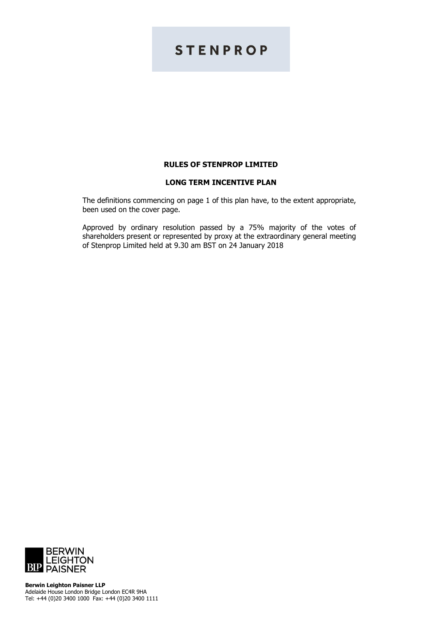# **STENPROP**

# **RULES OF STENPROP LIMITED**

## **LONG TERM INCENTIVE PLAN**

The definitions commencing on page 1 of this plan have, to the extent appropriate, been used on the cover page.

Approved by ordinary resolution passed by a 75% majority of the votes of shareholders present or represented by proxy at the extraordinary general meeting of Stenprop Limited held at 9.30 am BST on 24 January 2018

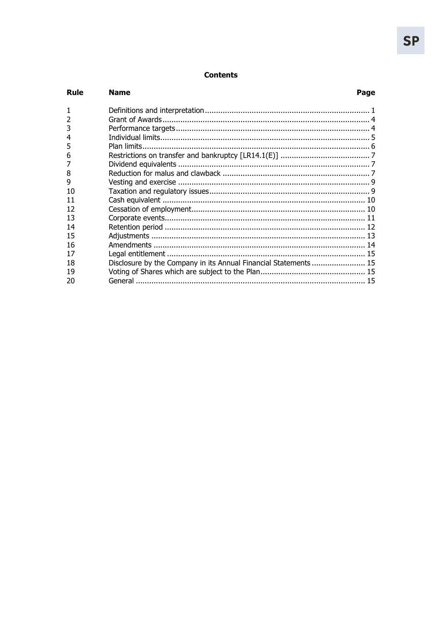# **Contents**

| Rule           | <b>Name</b>                                                      | Page |
|----------------|------------------------------------------------------------------|------|
|                |                                                                  |      |
| $\overline{2}$ |                                                                  |      |
| 3              |                                                                  |      |
| 4              |                                                                  |      |
| 5              |                                                                  |      |
| 6              |                                                                  |      |
|                |                                                                  |      |
| 8              |                                                                  |      |
| 9              |                                                                  |      |
| 10             |                                                                  |      |
| 11             |                                                                  |      |
| 12             |                                                                  |      |
| 13             |                                                                  |      |
| 14             |                                                                  |      |
| 15             |                                                                  |      |
| 16             |                                                                  |      |
| 17             |                                                                  |      |
| 18             | Disclosure by the Company in its Annual Financial Statements  15 |      |
| 19             |                                                                  |      |
| 20             |                                                                  |      |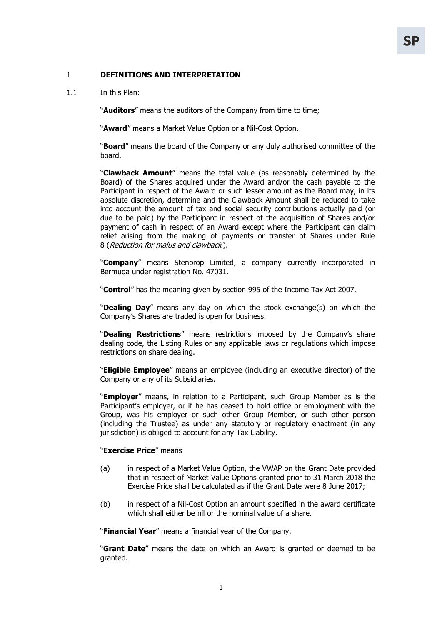# 1 **DEFINITIONS AND INTERPRETATION**

1.1 In this Plan:

"**Auditors**" means the auditors of the Company from time to time;

"**Award**" means a Market Value Option or a Nil-Cost Option.

"**Board**" means the board of the Company or any duly authorised committee of the board.

"**Clawback Amount**" means the total value (as reasonably determined by the Board) of the Shares acquired under the Award and/or the cash payable to the Participant in respect of the Award or such lesser amount as the Board may, in its absolute discretion, determine and the Clawback Amount shall be reduced to take into account the amount of tax and social security contributions actually paid (or due to be paid) by the Participant in respect of the acquisition of Shares and/or payment of cash in respect of an Award except where the Participant can claim relief arising from the making of payments or transfer of Shares under Rule 8 (Reduction for malus and clawback ).

"**Company**" means Stenprop Limited, a company currently incorporated in Bermuda under registration No. 47031.

"**Control**" has the meaning given by section 995 of the Income Tax Act 2007.

"**Dealing Day**" means any day on which the stock exchange(s) on which the Company's Shares are traded is open for business.

"**Dealing Restrictions**" means restrictions imposed by the Company's share dealing code, the Listing Rules or any applicable laws or regulations which impose restrictions on share dealing.

"**Eligible Employee**" means an employee (including an executive director) of the Company or any of its Subsidiaries.

"**Employer**" means, in relation to a Participant, such Group Member as is the Participant's employer, or if he has ceased to hold office or employment with the Group, was his employer or such other Group Member, or such other person (including the Trustee) as under any statutory or regulatory enactment (in any jurisdiction) is obliged to account for any Tax Liability.

## "**Exercise Price**" means

- (a) in respect of a Market Value Option, the VWAP on the Grant Date provided that in respect of Market Value Options granted prior to 31 March 2018 the Exercise Price shall be calculated as if the Grant Date were 8 June 2017;
- (b) in respect of a Nil-Cost Option an amount specified in the award certificate which shall either be nil or the nominal value of a share.

"**Financial Year**" means a financial year of the Company.

"**Grant Date**" means the date on which an Award is granted or deemed to be granted.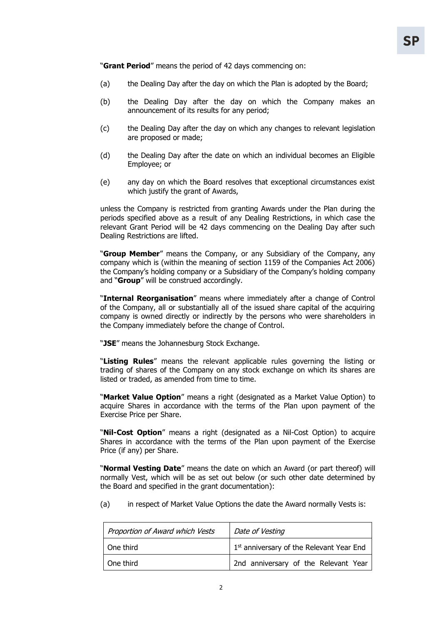"**Grant Period**" means the period of 42 days commencing on:

- (a) the Dealing Day after the day on which the Plan is adopted by the Board;
- (b) the Dealing Day after the day on which the Company makes an announcement of its results for any period;
- (c) the Dealing Day after the day on which any changes to relevant legislation are proposed or made;
- (d) the Dealing Day after the date on which an individual becomes an Eligible Employee; or
- (e) any day on which the Board resolves that exceptional circumstances exist which justify the grant of Awards,

unless the Company is restricted from granting Awards under the Plan during the periods specified above as a result of any Dealing Restrictions, in which case the relevant Grant Period will be 42 days commencing on the Dealing Day after such Dealing Restrictions are lifted.

"**Group Member**" means the Company, or any Subsidiary of the Company, any company which is (within the meaning of section 1159 of the Companies Act 2006) the Company's holding company or a Subsidiary of the Company's holding company and "**Group**" will be construed accordingly.

"**Internal Reorganisation**" means where immediately after a change of Control of the Company, all or substantially all of the issued share capital of the acquiring company is owned directly or indirectly by the persons who were shareholders in the Company immediately before the change of Control.

"**JSE**" means the Johannesburg Stock Exchange.

"**Listing Rules**" means the relevant applicable rules governing the listing or trading of shares of the Company on any stock exchange on which its shares are listed or traded, as amended from time to time.

"**Market Value Option**" means a right (designated as a Market Value Option) to acquire Shares in accordance with the terms of the Plan upon payment of the Exercise Price per Share.

"**Nil-Cost Option**" means a right (designated as a Nil-Cost Option) to acquire Shares in accordance with the terms of the Plan upon payment of the Exercise Price (if any) per Share.

"**Normal Vesting Date**" means the date on which an Award (or part thereof) will normally Vest, which will be as set out below (or such other date determined by the Board and specified in the grant documentation):

(a) in respect of Market Value Options the date the Award normally Vests is:

| Proportion of Award which Vests | Date of Vesting                                      |  |
|---------------------------------|------------------------------------------------------|--|
| One third                       | 1 <sup>st</sup> anniversary of the Relevant Year End |  |
| One third                       | 2nd anniversary of the Relevant Year                 |  |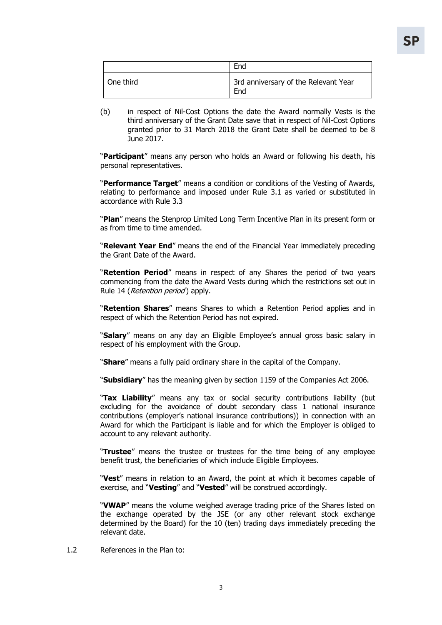|           | End                                         |
|-----------|---------------------------------------------|
| One third | 3rd anniversary of the Relevant Year<br>End |

(b) in respect of Nil-Cost Options the date the Award normally Vests is the third anniversary of the Grant Date save that in respect of Nil-Cost Options granted prior to 31 March 2018 the Grant Date shall be deemed to be 8 June 2017.

"**Participant**" means any person who holds an Award or following his death, his personal representatives.

"**Performance Target**" means a condition or conditions of the Vesting of Awards, relating to performance and imposed under Rule 3.1 as varied or substituted in accordance with Rule 3.3

"**Plan**" means the Stenprop Limited Long Term Incentive Plan in its present form or as from time to time amended.

"**Relevant Year End**" means the end of the Financial Year immediately preceding the Grant Date of the Award.

"**Retention Period**" means in respect of any Shares the period of two years commencing from the date the Award Vests during which the restrictions set out in Rule 14 (*Retention period*) apply.

"**Retention Shares**" means Shares to which a Retention Period applies and in respect of which the Retention Period has not expired.

"**Salary**" means on any day an Eligible Employee's annual gross basic salary in respect of his employment with the Group.

"**Share**" means a fully paid ordinary share in the capital of the Company.

"**Subsidiary**" has the meaning given by section 1159 of the Companies Act 2006.

"**Tax Liability**" means any tax or social security contributions liability (but excluding for the avoidance of doubt secondary class 1 national insurance contributions (employer's national insurance contributions)) in connection with an Award for which the Participant is liable and for which the Employer is obliged to account to any relevant authority.

"**Trustee**" means the trustee or trustees for the time being of any employee benefit trust, the beneficiaries of which include Eligible Employees.

"**Vest**" means in relation to an Award, the point at which it becomes capable of exercise, and "**Vesting**" and "**Vested**" will be construed accordingly.

"**VWAP**" means the volume weighed average trading price of the Shares listed on the exchange operated by the JSE (or any other relevant stock exchange determined by the Board) for the 10 (ten) trading days immediately preceding the relevant date.

1.2 References in the Plan to:

3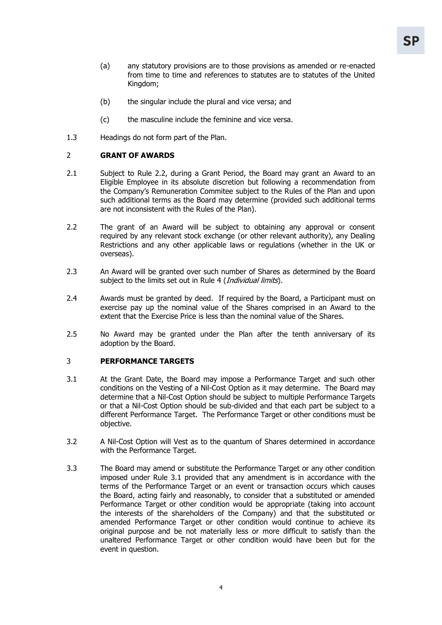- (a) any statutory provisions are to those provisions as amended or re-enacted from time to time and references to statutes are to statutes of the United Kingdom;
- (b) the singular include the plural and vice versa; and
- (c) the masculine include the feminine and vice versa.
- 1.3 Headings do not form part of the Plan.

#### 2 **GRANT OF AWARDS**

- 2.1 Subject to Rule 2.2, during a Grant Period, the Board may grant an Award to an Eligible Employee in its absolute discretion but following a recommendation from the Company's Remuneration Commitee subject to the Rules of the Plan and upon such additional terms as the Board may determine (provided such additional terms are not inconsistent with the Rules of the Plan).
- 2.2 The grant of an Award will be subject to obtaining any approval or consent required by any relevant stock exchange (or other relevant authority), any Dealing Restrictions and any other applicable laws or regulations (whether in the UK or overseas).
- 2.3 An Award will be granted over such number of Shares as determined by the Board subject to the limits set out in Rule 4 (*Individual limits*).
- 2.4 Awards must be granted by deed. If required by the Board, a Participant must on exercise pay up the nominal value of the Shares comprised in an Award to the extent that the Exercise Price is less than the nominal value of the Shares.
- 2.5 No Award may be granted under the Plan after the tenth anniversary of its adoption by the Board.

## 3 **PERFORMANCE TARGETS**

- 3.1 At the Grant Date, the Board may impose a Performance Target and such other conditions on the Vesting of a Nil-Cost Option as it may determine. The Board may determine that a Nil-Cost Option should be subject to multiple Performance Targets or that a Nil-Cost Option should be sub-divided and that each part be subject to a different Performance Target. The Performance Target or other conditions must be objective.
- 3.2 A Nil-Cost Option will Vest as to the quantum of Shares determined in accordance with the Performance Target.
- 3.3 The Board may amend or substitute the Performance Target or any other condition imposed under Rule 3.1 provided that any amendment is in accordance with the terms of the Performance Target or an event or transaction occurs which causes the Board, acting fairly and reasonably, to consider that a substituted or amended Performance Target or other condition would be appropriate (taking into account the interests of the shareholders of the Company) and that the substituted or amended Performance Target or other condition would continue to achieve its original purpose and be not materially less or more difficult to satisfy than the unaltered Performance Target or other condition would have been but for the event in question.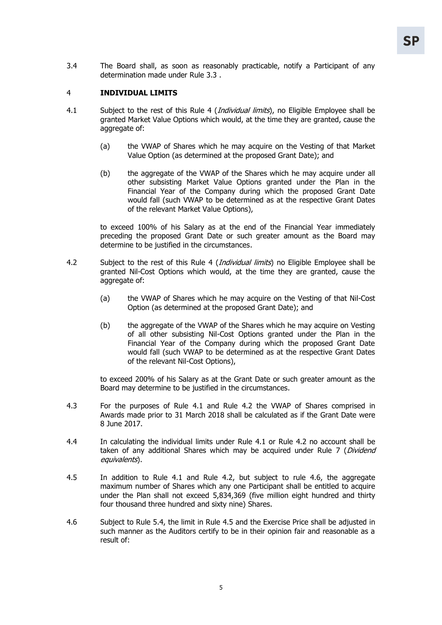3.4 The Board shall, as soon as reasonably practicable, notify a Participant of any determination made under Rule 3.3 .

## 4 **INDIVIDUAL LIMITS**

- 4.1 Subject to the rest of this Rule 4 *(Individual limits*), no Eligible Employee shall be granted Market Value Options which would, at the time they are granted, cause the aggregate of:
	- (a) the VWAP of Shares which he may acquire on the Vesting of that Market Value Option (as determined at the proposed Grant Date); and
	- (b) the aggregate of the VWAP of the Shares which he may acquire under all other subsisting Market Value Options granted under the Plan in the Financial Year of the Company during which the proposed Grant Date would fall (such VWAP to be determined as at the respective Grant Dates of the relevant Market Value Options),

to exceed 100% of his Salary as at the end of the Financial Year immediately preceding the proposed Grant Date or such greater amount as the Board may determine to be justified in the circumstances.

- 4.2 Subject to the rest of this Rule 4 *(Individual limits*) no Eligible Employee shall be granted Nil-Cost Options which would, at the time they are granted, cause the aggregate of:
	- (a) the VWAP of Shares which he may acquire on the Vesting of that Nil-Cost Option (as determined at the proposed Grant Date); and
	- (b) the aggregate of the VWAP of the Shares which he may acquire on Vesting of all other subsisting Nil-Cost Options granted under the Plan in the Financial Year of the Company during which the proposed Grant Date would fall (such VWAP to be determined as at the respective Grant Dates of the relevant Nil-Cost Options),

to exceed 200% of his Salary as at the Grant Date or such greater amount as the Board may determine to be justified in the circumstances.

- 4.3 For the purposes of Rule 4.1 and Rule 4.2 the VWAP of Shares comprised in Awards made prior to 31 March 2018 shall be calculated as if the Grant Date were 8 June 2017.
- 4.4 In calculating the individual limits under Rule 4.1 or Rule 4.2 no account shall be taken of any additional Shares which may be acquired under Rule 7 (Dividend equivalents).
- 4.5 In addition to Rule 4.1 and Rule 4.2, but subject to rule 4.6, the aggregate maximum number of Shares which any one Participant shall be entitled to acquire under the Plan shall not exceed 5,834,369 (five million eight hundred and thirty four thousand three hundred and sixty nine) Shares.
- 4.6 Subject to Rule 5.4, the limit in Rule 4.5 and the Exercise Price shall be adjusted in such manner as the Auditors certify to be in their opinion fair and reasonable as a result of: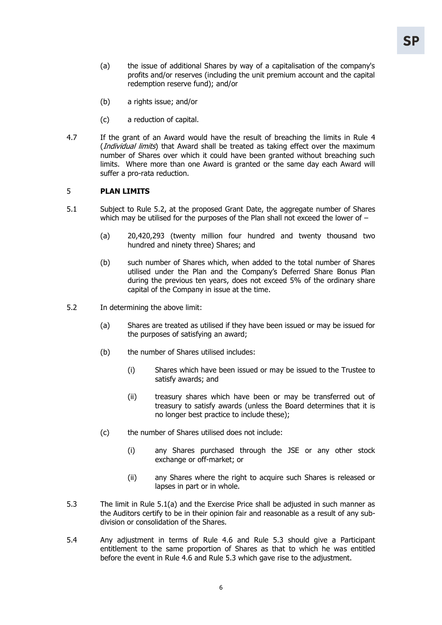- (a) the issue of additional Shares by way of a capitalisation of the company's profits and/or reserves (including the unit premium account and the capital redemption reserve fund); and/or
- (b) a rights issue; and/or
- (c) a reduction of capital.
- 4.7 If the grant of an Award would have the result of breaching the limits in Rule 4 (*Individual limits*) that Award shall be treated as taking effect over the maximum number of Shares over which it could have been granted without breaching such limits. Where more than one Award is granted or the same day each Award will suffer a pro-rata reduction.

## 5 **PLAN LIMITS**

- 5.1 Subject to Rule 5.2, at the proposed Grant Date, the aggregate number of Shares which may be utilised for the purposes of the Plan shall not exceed the lower of -
	- (a) 20,420,293 (twenty million four hundred and twenty thousand two hundred and ninety three) Shares; and
	- (b) such number of Shares which, when added to the total number of Shares utilised under the Plan and the Company's Deferred Share Bonus Plan during the previous ten years, does not exceed 5% of the ordinary share capital of the Company in issue at the time.
- 5.2 In determining the above limit:
	- (a) Shares are treated as utilised if they have been issued or may be issued for the purposes of satisfying an award;
	- (b) the number of Shares utilised includes:
		- (i) Shares which have been issued or may be issued to the Trustee to satisfy awards; and
		- (ii) treasury shares which have been or may be transferred out of treasury to satisfy awards (unless the Board determines that it is no longer best practice to include these);
	- (c) the number of Shares utilised does not include:
		- (i) any Shares purchased through the JSE or any other stock exchange or off-market; or
		- (ii) any Shares where the right to acquire such Shares is released or lapses in part or in whole.
- 5.3 The limit in Rule 5.1(a) and the Exercise Price shall be adjusted in such manner as the Auditors certify to be in their opinion fair and reasonable as a result of any subdivision or consolidation of the Shares.
- 5.4 Any adjustment in terms of Rule 4.6 and Rule 5.3 should give a Participant entitlement to the same proportion of Shares as that to which he was entitled before the event in Rule 4.6 and Rule 5.3 which gave rise to the adjustment.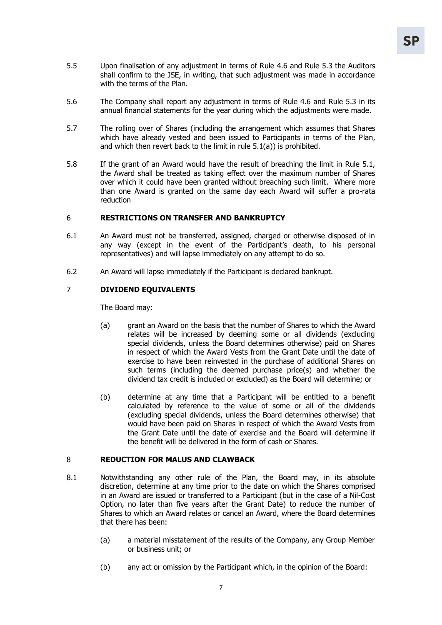- 5.5 Upon finalisation of any adjustment in terms of Rule 4.6 and Rule 5.3 the Auditors shall confirm to the JSE, in writing, that such adjustment was made in accordance with the terms of the Plan.
- 5.6 The Company shall report any adjustment in terms of Rule 4.6 and Rule 5.3 in its annual financial statements for the year during which the adjustments were made.
- 5.7 The rolling over of Shares (including the arrangement which assumes that Shares which have already vested and been issued to Participants in terms of the Plan, and which then revert back to the limit in rule 5.1(a)) is prohibited.
- 5.8 If the grant of an Award would have the result of breaching the limit in Rule 5.1, the Award shall be treated as taking effect over the maximum number of Shares over which it could have been granted without breaching such limit. Where more than one Award is granted on the same day each Award will suffer a pro-rata reduction

# 6 **RESTRICTIONS ON TRANSFER AND BANKRUPTCY**

- 6.1 An Award must not be transferred, assigned, charged or otherwise disposed of in any way (except in the event of the Participant's death, to his personal representatives) and will lapse immediately on any attempt to do so.
- 6.2 An Award will lapse immediately if the Participant is declared bankrupt.

# 7 **DIVIDEND EQUIVALENTS**

The Board may:

- (a) grant an Award on the basis that the number of Shares to which the Award relates will be increased by deeming some or all dividends (excluding special dividends, unless the Board determines otherwise) paid on Shares in respect of which the Award Vests from the Grant Date until the date of exercise to have been reinvested in the purchase of additional Shares on such terms (including the deemed purchase price(s) and whether the dividend tax credit is included or excluded) as the Board will determine; or
- (b) determine at any time that a Participant will be entitled to a benefit calculated by reference to the value of some or all of the dividends (excluding special dividends, unless the Board determines otherwise) that would have been paid on Shares in respect of which the Award Vests from the Grant Date until the date of exercise and the Board will determine if the benefit will be delivered in the form of cash or Shares.

# 8 **REDUCTION FOR MALUS AND CLAWBACK**

- 8.1 Notwithstanding any other rule of the Plan, the Board may, in its absolute discretion, determine at any time prior to the date on which the Shares comprised in an Award are issued or transferred to a Participant (but in the case of a Nil-Cost Option, no later than five years after the Grant Date) to reduce the number of Shares to which an Award relates or cancel an Award, where the Board determines that there has been:
	- (a) a material misstatement of the results of the Company, any Group Member or business unit; or
	- (b) any act or omission by the Participant which, in the opinion of the Board: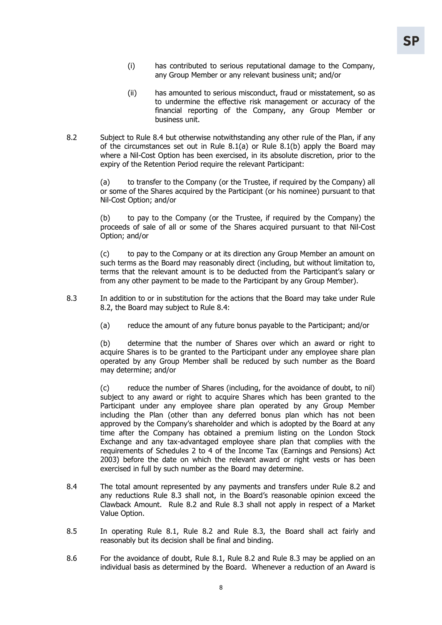- (i) has contributed to serious reputational damage to the Company, any Group Member or any relevant business unit; and/or
- (ii) has amounted to serious misconduct, fraud or misstatement, so as to undermine the effective risk management or accuracy of the financial reporting of the Company, any Group Member or business unit.
- 8.2 Subject to Rule 8.4 but otherwise notwithstanding any other rule of the Plan, if any of the circumstances set out in Rule 8.1(a) or Rule 8.1(b) apply the Board may where a Nil-Cost Option has been exercised, in its absolute discretion, prior to the expiry of the Retention Period require the relevant Participant:

(a) to transfer to the Company (or the Trustee, if required by the Company) all or some of the Shares acquired by the Participant (or his nominee) pursuant to that Nil-Cost Option; and/or

(b) to pay to the Company (or the Trustee, if required by the Company) the proceeds of sale of all or some of the Shares acquired pursuant to that Nil-Cost Option; and/or

(c) to pay to the Company or at its direction any Group Member an amount on such terms as the Board may reasonably direct (including, but without limitation to, terms that the relevant amount is to be deducted from the Participant's salary or from any other payment to be made to the Participant by any Group Member).

- 8.3 In addition to or in substitution for the actions that the Board may take under Rule 8.2, the Board may subject to Rule 8.4:
	- (a) reduce the amount of any future bonus payable to the Participant; and/or

(b) determine that the number of Shares over which an award or right to acquire Shares is to be granted to the Participant under any employee share plan operated by any Group Member shall be reduced by such number as the Board may determine; and/or

(c) reduce the number of Shares (including, for the avoidance of doubt, to nil) subject to any award or right to acquire Shares which has been granted to the Participant under any employee share plan operated by any Group Member including the Plan (other than any deferred bonus plan which has not been approved by the Company's shareholder and which is adopted by the Board at any time after the Company has obtained a premium listing on the London Stock Exchange and any tax-advantaged employee share plan that complies with the requirements of Schedules 2 to 4 of the Income Tax (Earnings and Pensions) Act 2003) before the date on which the relevant award or right vests or has been exercised in full by such number as the Board may determine.

- 8.4 The total amount represented by any payments and transfers under Rule 8.2 and any reductions Rule 8.3 shall not, in the Board's reasonable opinion exceed the Clawback Amount. Rule 8.2 and Rule 8.3 shall not apply in respect of a Market Value Option.
- 8.5 In operating Rule 8.1, Rule 8.2 and Rule 8.3, the Board shall act fairly and reasonably but its decision shall be final and binding.
- 8.6 For the avoidance of doubt, Rule 8.1, Rule 8.2 and Rule 8.3 may be applied on an individual basis as determined by the Board. Whenever a reduction of an Award is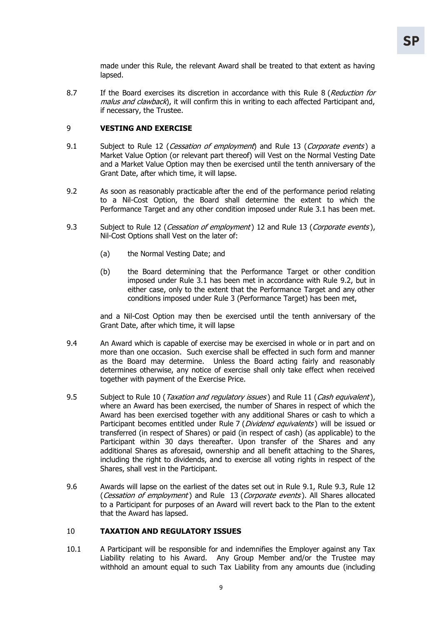made under this Rule, the relevant Award shall be treated to that extent as having lapsed.

8.7 If the Board exercises its discretion in accordance with this Rule 8 (Reduction for malus and clawback), it will confirm this in writing to each affected Participant and, if necessary, the Trustee.

# 9 **VESTING AND EXERCISE**

- 9.1 Subject to Rule 12 (Cessation of employment) and Rule 13 (Corporate events) a Market Value Option (or relevant part thereof) will Vest on the Normal Vesting Date and a Market Value Option may then be exercised until the tenth anniversary of the Grant Date, after which time, it will lapse.
- 9.2 As soon as reasonably practicable after the end of the performance period relating to a Nil-Cost Option, the Board shall determine the extent to which the Performance Target and any other condition imposed under Rule 3.1 has been met.
- 9.3 Subject to Rule 12 (Cessation of employment) 12 and Rule 13 (Corporate events), Nil-Cost Options shall Vest on the later of:
	- (a) the Normal Vesting Date; and
	- (b) the Board determining that the Performance Target or other condition imposed under Rule 3.1 has been met in accordance with Rule 9.2, but in either case, only to the extent that the Performance Target and any other conditions imposed under Rule 3 (Performance Target) has been met,

and a Nil-Cost Option may then be exercised until the tenth anniversary of the Grant Date, after which time, it will lapse

- 9.4 An Award which is capable of exercise may be exercised in whole or in part and on more than one occasion. Such exercise shall be effected in such form and manner as the Board may determine. Unless the Board acting fairly and reasonably determines otherwise, any notice of exercise shall only take effect when received together with payment of the Exercise Price.
- 9.5 Subject to Rule 10 (Taxation and regulatory issues) and Rule 11 (Cash equivalent), where an Award has been exercised, the number of Shares in respect of which the Award has been exercised together with any additional Shares or cash to which a Participant becomes entitled under Rule 7 (Dividend equivalents) will be issued or transferred (in respect of Shares) or paid (in respect of cash) (as applicable) to the Participant within 30 days thereafter. Upon transfer of the Shares and any additional Shares as aforesaid, ownership and all benefit attaching to the Shares, including the right to dividends, and to exercise all voting rights in respect of the Shares, shall vest in the Participant.
- 9.6 Awards will lapse on the earliest of the dates set out in Rule 9.1, Rule 9.3, Rule 12 (Cessation of employment) and Rule 13 (Corporate events). All Shares allocated to a Participant for purposes of an Award will revert back to the Plan to the extent that the Award has lapsed.

### 10 **TAXATION AND REGULATORY ISSUES**

10.1 A Participant will be responsible for and indemnifies the Employer against any Tax Liability relating to his Award. Any Group Member and/or the Trustee may withhold an amount equal to such Tax Liability from any amounts due (including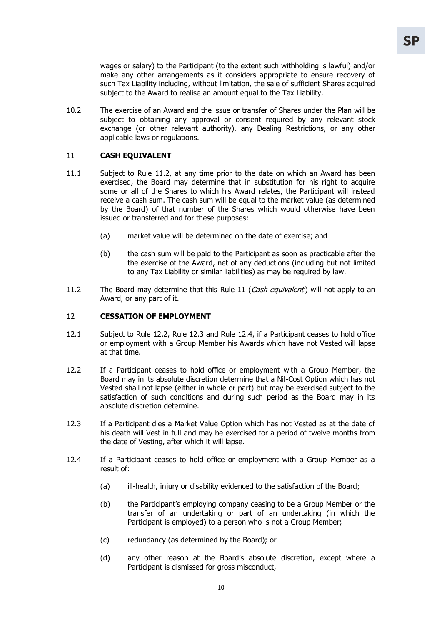wages or salary) to the Participant (to the extent such withholding is lawful) and/or make any other arrangements as it considers appropriate to ensure recovery of such Tax Liability including, without limitation, the sale of sufficient Shares acquired subject to the Award to realise an amount equal to the Tax Liability.

10.2 The exercise of an Award and the issue or transfer of Shares under the Plan will be subject to obtaining any approval or consent required by any relevant stock exchange (or other relevant authority), any Dealing Restrictions, or any other applicable laws or regulations.

## 11 **CASH EQUIVALENT**

- 11.1 Subject to Rule 11.2, at any time prior to the date on which an Award has been exercised, the Board may determine that in substitution for his right to acquire some or all of the Shares to which his Award relates, the Participant will instead receive a cash sum. The cash sum will be equal to the market value (as determined by the Board) of that number of the Shares which would otherwise have been issued or transferred and for these purposes:
	- (a) market value will be determined on the date of exercise; and
	- (b) the cash sum will be paid to the Participant as soon as practicable after the the exercise of the Award, net of any deductions (including but not limited to any Tax Liability or similar liabilities) as may be required by law.
- 11.2 The Board may determine that this Rule 11 (Cash equivalent) will not apply to an Award, or any part of it.

### 12 **CESSATION OF EMPLOYMENT**

- 12.1 Subject to Rule 12.2, Rule 12.3 and Rule 12.4, if a Participant ceases to hold office or employment with a Group Member his Awards which have not Vested will lapse at that time.
- 12.2 If a Participant ceases to hold office or employment with a Group Member, the Board may in its absolute discretion determine that a Nil-Cost Option which has not Vested shall not lapse (either in whole or part) but may be exercised subject to the satisfaction of such conditions and during such period as the Board may in its absolute discretion determine.
- 12.3 If a Participant dies a Market Value Option which has not Vested as at the date of his death will Vest in full and may be exercised for a period of twelve months from the date of Vesting, after which it will lapse.
- 12.4 If a Participant ceases to hold office or employment with a Group Member as a result of:
	- (a) ill-health, injury or disability evidenced to the satisfaction of the Board;
	- (b) the Participant's employing company ceasing to be a Group Member or the transfer of an undertaking or part of an undertaking (in which the Participant is employed) to a person who is not a Group Member;
	- (c) redundancy (as determined by the Board); or
	- (d) any other reason at the Board's absolute discretion, except where a Participant is dismissed for gross misconduct,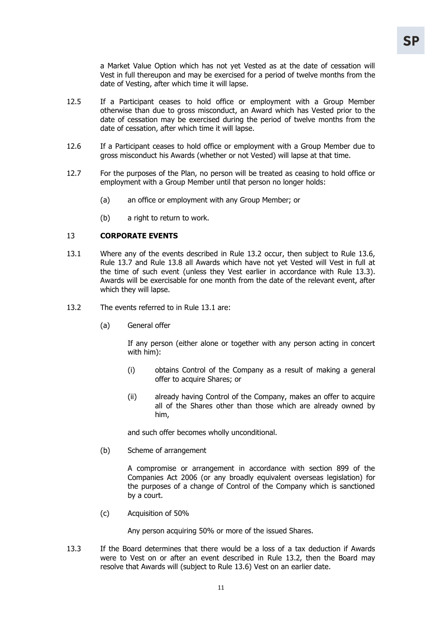a Market Value Option which has not yet Vested as at the date of cessation will Vest in full thereupon and may be exercised for a period of twelve months from the date of Vesting, after which time it will lapse.

- 12.5 If a Participant ceases to hold office or employment with a Group Member otherwise than due to gross misconduct, an Award which has Vested prior to the date of cessation may be exercised during the period of twelve months from the date of cessation, after which time it will lapse.
- 12.6 If a Participant ceases to hold office or employment with a Group Member due to gross misconduct his Awards (whether or not Vested) will lapse at that time.
- 12.7 For the purposes of the Plan, no person will be treated as ceasing to hold office or employment with a Group Member until that person no longer holds:
	- (a) an office or employment with any Group Member; or
	- (b) a right to return to work.

## 13 **CORPORATE EVENTS**

- 13.1 Where any of the events described in Rule 13.2 occur, then subject to Rule 13.6, Rule 13.7 and Rule 13.8 all Awards which have not yet Vested will Vest in full at the time of such event (unless they Vest earlier in accordance with Rule 13.3). Awards will be exercisable for one month from the date of the relevant event, after which they will lapse.
- 13.2 The events referred to in Rule 13.1 are:
	- (a) General offer

If any person (either alone or together with any person acting in concert with him):

- (i) obtains Control of the Company as a result of making a general offer to acquire Shares; or
- (ii) already having Control of the Company, makes an offer to acquire all of the Shares other than those which are already owned by him,

and such offer becomes wholly unconditional.

(b) Scheme of arrangement

A compromise or arrangement in accordance with section 899 of the Companies Act 2006 (or any broadly equivalent overseas legislation) for the purposes of a change of Control of the Company which is sanctioned by a court.

(c) Acquisition of 50%

Any person acquiring 50% or more of the issued Shares.

13.3 If the Board determines that there would be a loss of a tax deduction if Awards were to Vest on or after an event described in Rule 13.2, then the Board may resolve that Awards will (subject to Rule 13.6) Vest on an earlier date.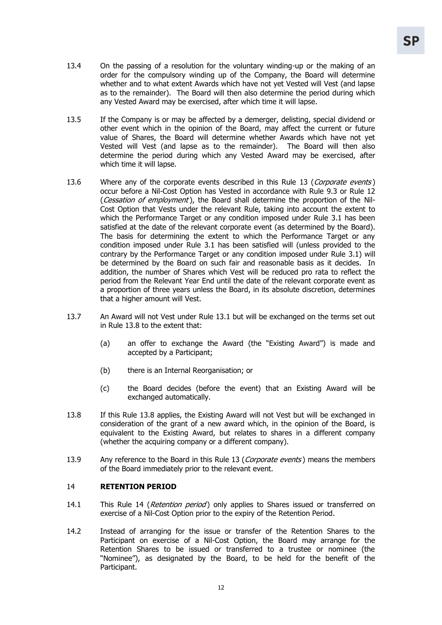- 13.4 On the passing of a resolution for the voluntary winding-up or the making of an order for the compulsory winding up of the Company, the Board will determine whether and to what extent Awards which have not yet Vested will Vest (and lapse as to the remainder). The Board will then also determine the period during which any Vested Award may be exercised, after which time it will lapse.
- 13.5 If the Company is or may be affected by a demerger, delisting, special dividend or other event which in the opinion of the Board, may affect the current or future value of Shares, the Board will determine whether Awards which have not yet Vested will Vest (and lapse as to the remainder). The Board will then also determine the period during which any Vested Award may be exercised, after which time it will lapse.
- 13.6 Where any of the corporate events described in this Rule 13 (Corporate events) occur before a Nil-Cost Option has Vested in accordance with Rule 9.3 or Rule 12 (Cessation of employment), the Board shall determine the proportion of the Nil-Cost Option that Vests under the relevant Rule, taking into account the extent to which the Performance Target or any condition imposed under Rule 3.1 has been satisfied at the date of the relevant corporate event (as determined by the Board). The basis for determining the extent to which the Performance Target or any condition imposed under Rule 3.1 has been satisfied will (unless provided to the contrary by the Performance Target or any condition imposed under Rule 3.1) will be determined by the Board on such fair and reasonable basis as it decides. In addition, the number of Shares which Vest will be reduced pro rata to reflect the period from the Relevant Year End until the date of the relevant corporate event as a proportion of three years unless the Board, in its absolute discretion, determines that a higher amount will Vest.
- 13.7 An Award will not Vest under Rule 13.1 but will be exchanged on the terms set out in Rule 13.8 to the extent that:
	- (a) an offer to exchange the Award (the "Existing Award") is made and accepted by a Participant;
	- (b) there is an Internal Reorganisation; or
	- (c) the Board decides (before the event) that an Existing Award will be exchanged automatically.
- 13.8 If this Rule 13.8 applies, the Existing Award will not Vest but will be exchanged in consideration of the grant of a new award which, in the opinion of the Board, is equivalent to the Existing Award, but relates to shares in a different company (whether the acquiring company or a different company).
- 13.9 Any reference to the Board in this Rule 13 (Corporate events) means the members of the Board immediately prior to the relevant event.

#### 14 **RETENTION PERIOD**

- 14.1 This Rule 14 (*Retention period*) only applies to Shares issued or transferred on exercise of a Nil-Cost Option prior to the expiry of the Retention Period.
- 14.2 Instead of arranging for the issue or transfer of the Retention Shares to the Participant on exercise of a Nil-Cost Option, the Board may arrange for the Retention Shares to be issued or transferred to a trustee or nominee (the "Nominee"), as designated by the Board, to be held for the benefit of the Participant.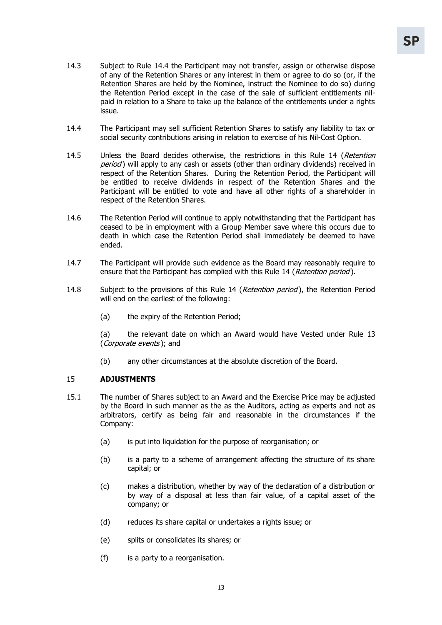- 14.3 Subject to Rule 14.4 the Participant may not transfer, assign or otherwise dispose of any of the Retention Shares or any interest in them or agree to do so (or, if the Retention Shares are held by the Nominee, instruct the Nominee to do so) during the Retention Period except in the case of the sale of sufficient entitlements nilpaid in relation to a Share to take up the balance of the entitlements under a rights issue.
- 14.4 The Participant may sell sufficient Retention Shares to satisfy any liability to tax or social security contributions arising in relation to exercise of his Nil-Cost Option.
- 14.5 Unless the Board decides otherwise, the restrictions in this Rule 14 (Retention period) will apply to any cash or assets (other than ordinary dividends) received in respect of the Retention Shares. During the Retention Period, the Participant will be entitled to receive dividends in respect of the Retention Shares and the Participant will be entitled to vote and have all other rights of a shareholder in respect of the Retention Shares.
- 14.6 The Retention Period will continue to apply notwithstanding that the Participant has ceased to be in employment with a Group Member save where this occurs due to death in which case the Retention Period shall immediately be deemed to have ended.
- 14.7 The Participant will provide such evidence as the Board may reasonably require to ensure that the Participant has complied with this Rule 14 (Retention period).
- 14.8 Subject to the provisions of this Rule 14 (Retention period), the Retention Period will end on the earliest of the following:
	- (a) the expiry of the Retention Period;

(a) the relevant date on which an Award would have Vested under Rule 13 (*Corporate events*); and

(b) any other circumstances at the absolute discretion of the Board.

#### 15 **ADJUSTMENTS**

- 15.1 The number of Shares subject to an Award and the Exercise Price may be adjusted by the Board in such manner as the as the Auditors, acting as experts and not as arbitrators, certify as being fair and reasonable in the circumstances if the Company:
	- (a) is put into liquidation for the purpose of reorganisation; or
	- (b) is a party to a scheme of arrangement affecting the structure of its share capital; or
	- (c) makes a distribution, whether by way of the declaration of a distribution or by way of a disposal at less than fair value, of a capital asset of the company; or
	- (d) reduces its share capital or undertakes a rights issue; or
	- (e) splits or consolidates its shares; or
	- (f) is a party to a reorganisation.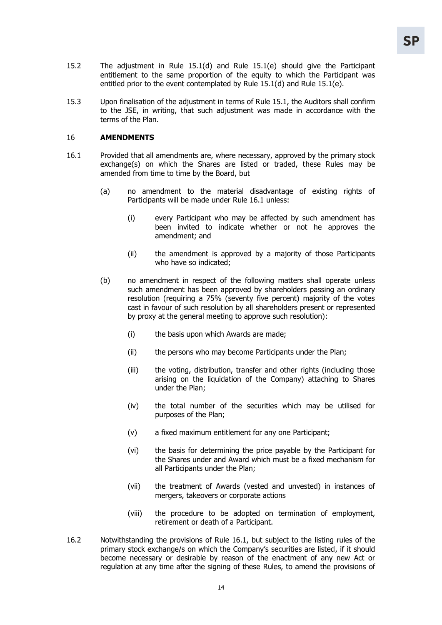- 15.2 The adjustment in Rule 15.1(d) and Rule 15.1(e) should give the Participant entitlement to the same proportion of the equity to which the Participant was entitled prior to the event contemplated by Rule 15.1(d) and Rule 15.1(e).
- 15.3 Upon finalisation of the adjustment in terms of Rule 15.1, the Auditors shall confirm to the JSE, in writing, that such adjustment was made in accordance with the terms of the Plan.

#### 16 **AMENDMENTS**

- 16.1 Provided that all amendments are, where necessary, approved by the primary stock exchange(s) on which the Shares are listed or traded, these Rules may be amended from time to time by the Board, but
	- (a) no amendment to the material disadvantage of existing rights of Participants will be made under Rule 16.1 unless:
		- (i) every Participant who may be affected by such amendment has been invited to indicate whether or not he approves the amendment; and
		- (ii) the amendment is approved by a majority of those Participants who have so indicated;
	- (b) no amendment in respect of the following matters shall operate unless such amendment has been approved by shareholders passing an ordinary resolution (requiring a 75% (seventy five percent) majority of the votes cast in favour of such resolution by all shareholders present or represented by proxy at the general meeting to approve such resolution):
		- (i) the basis upon which Awards are made;
		- (ii) the persons who may become Participants under the Plan;
		- (iii) the voting, distribution, transfer and other rights (including those arising on the liquidation of the Company) attaching to Shares under the Plan;
		- (iv) the total number of the securities which may be utilised for purposes of the Plan;
		- (v) a fixed maximum entitlement for any one Participant;
		- (vi) the basis for determining the price payable by the Participant for the Shares under and Award which must be a fixed mechanism for all Participants under the Plan;
		- (vii) the treatment of Awards (vested and unvested) in instances of mergers, takeovers or corporate actions
		- (viii) the procedure to be adopted on termination of employment, retirement or death of a Participant.
- 16.2 Notwithstanding the provisions of Rule 16.1, but subject to the listing rules of the primary stock exchange/s on which the Company's securities are listed, if it should become necessary or desirable by reason of the enactment of any new Act or regulation at any time after the signing of these Rules, to amend the provisions of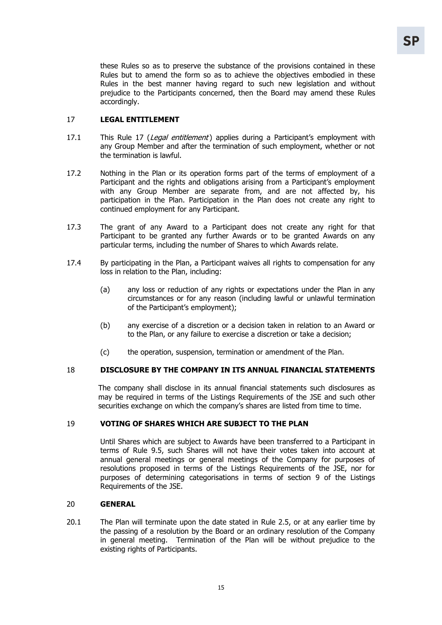these Rules so as to preserve the substance of the provisions contained in these Rules but to amend the form so as to achieve the objectives embodied in these Rules in the best manner having regard to such new legislation and without prejudice to the Participants concerned, then the Board may amend these Rules accordingly.

## 17 **LEGAL ENTITLEMENT**

- 17.1 This Rule 17 (Legal entitlement) applies during a Participant's employment with any Group Member and after the termination of such employment, whether or not the termination is lawful.
- 17.2 Nothing in the Plan or its operation forms part of the terms of employment of a Participant and the rights and obligations arising from a Participant's employment with any Group Member are separate from, and are not affected by, his participation in the Plan. Participation in the Plan does not create any right to continued employment for any Participant.
- 17.3 The grant of any Award to a Participant does not create any right for that Participant to be granted any further Awards or to be granted Awards on any particular terms, including the number of Shares to which Awards relate.
- 17.4 By participating in the Plan, a Participant waives all rights to compensation for any loss in relation to the Plan, including:
	- (a) any loss or reduction of any rights or expectations under the Plan in any circumstances or for any reason (including lawful or unlawful termination of the Participant's employment);
	- (b) any exercise of a discretion or a decision taken in relation to an Award or to the Plan, or any failure to exercise a discretion or take a decision;
	- (c) the operation, suspension, termination or amendment of the Plan.

## 18 **DISCLOSURE BY THE COMPANY IN ITS ANNUAL FINANCIAL STATEMENTS**

The company shall disclose in its annual financial statements such disclosures as may be required in terms of the Listings Requirements of the JSE and such other securities exchange on which the company's shares are listed from time to time.

## 19 **VOTING OF SHARES WHICH ARE SUBJECT TO THE PLAN**

Until Shares which are subject to Awards have been transferred to a Participant in terms of Rule 9.5, such Shares will not have their votes taken into account at annual general meetings or general meetings of the Company for purposes of resolutions proposed in terms of the Listings Requirements of the JSE, nor for purposes of determining categorisations in terms of section 9 of the Listings Requirements of the JSE.

#### 20 **GENERAL**

20.1 The Plan will terminate upon the date stated in Rule 2.5, or at any earlier time by the passing of a resolution by the Board or an ordinary resolution of the Company in general meeting. Termination of the Plan will be without prejudice to the existing rights of Participants.